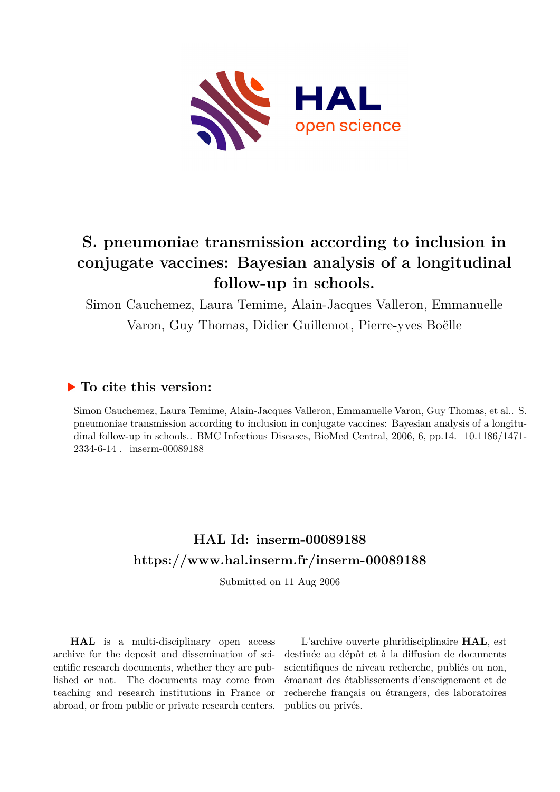

# **S. pneumoniae transmission according to inclusion in conjugate vaccines: Bayesian analysis of a longitudinal follow-up in schools.**

Simon Cauchemez, Laura Temime, Alain-Jacques Valleron, Emmanuelle Varon, Guy Thomas, Didier Guillemot, Pierre-yves Boëlle

## **To cite this version:**

Simon Cauchemez, Laura Temime, Alain-Jacques Valleron, Emmanuelle Varon, Guy Thomas, et al.. S. pneumoniae transmission according to inclusion in conjugate vaccines: Bayesian analysis of a longitudinal follow-up in schools.. BMC Infectious Diseases, BioMed Central, 2006, 6, pp.14. 10.1186/1471-2334-6-14 . inserm-00089188

# **HAL Id: inserm-00089188 <https://www.hal.inserm.fr/inserm-00089188>**

Submitted on 11 Aug 2006

**HAL** is a multi-disciplinary open access archive for the deposit and dissemination of scientific research documents, whether they are published or not. The documents may come from teaching and research institutions in France or abroad, or from public or private research centers.

L'archive ouverte pluridisciplinaire **HAL**, est destinée au dépôt et à la diffusion de documents scientifiques de niveau recherche, publiés ou non, émanant des établissements d'enseignement et de recherche français ou étrangers, des laboratoires publics ou privés.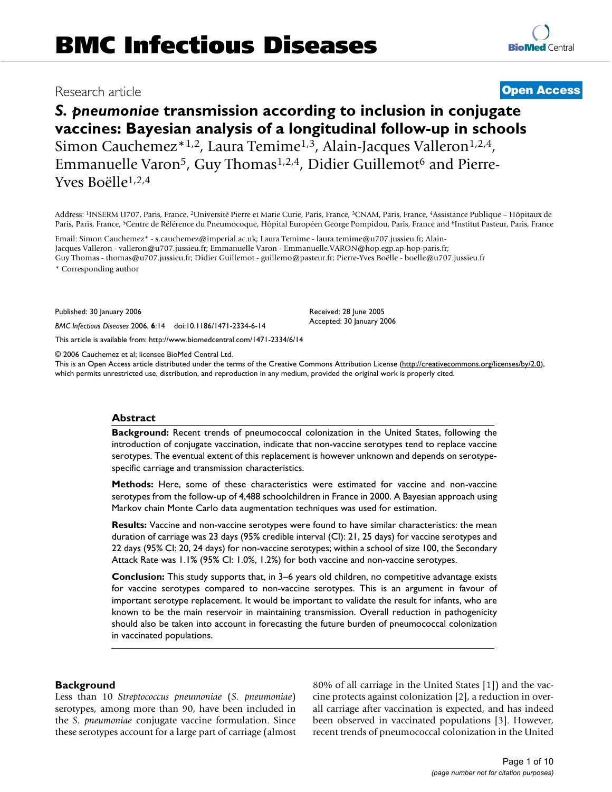## Research article **Contract Contract Contract Contract Contract Contract Contract Contract Contract Contract Contract Contract Contract Contract Contract Contract Contract Contract Contract Contract Contract Contract Contra**

## *S. pneumoniae* **transmission according to inclusion in conjugate vaccines: Bayesian analysis of a longitudinal follow-up in schools** Simon Cauchemez\*1,2, Laura Temime<sup>1,3</sup>, Alain-Jacques Valleron<sup>1,2,4</sup>, Emmanuelle Varon<sup>5</sup>, Guy Thomas<sup>1,2,4</sup>, Didier Guillemot<sup>6</sup> and Pierre-Yves Boëlle1,2,4

Address: <sup>1</sup>INSERM U707, Paris, France, <sup>2</sup>Université Pierre et Marie Curie, Paris, France, <sup>3</sup>CNAM, Paris, France, <sup>4</sup>Assistance Publique – Hôpitaux de Paris, Paris, France, <sup>5</sup>Centre de Référence du Pneumocoque, Hôpital Européen George Pompidou, Paris, France and <sup>6</sup>Institut Pasteur, Paris, France

Email: Simon Cauchemez\* - s.cauchemez@imperial.ac.uk; Laura Temime - laura.temime@u707.jussieu.fr; Alain-Jacques Valleron - valleron@u707.jussieu.fr; Emmanuelle Varon - Emmanuelle.VARON@hop.egp.ap-hop-paris.fr; Guy Thomas - thomas@u707.jussieu.fr; Didier Guillemot - guillemo@pasteur.fr; Pierre-Yves Boëlle - boelle@u707.jussieu.fr

\* Corresponding author

Published: 30 January 2006

*BMC Infectious Diseases* 2006, **6**:14 doi:10.1186/1471-2334-6-14

[This article is available from: http://www.biomedcentral.com/1471-2334/6/14](http://www.biomedcentral.com/1471-2334/6/14)

© 2006 Cauchemez et al; licensee BioMed Central Ltd.

This is an Open Access article distributed under the terms of the Creative Commons Attribution License [\(http://creativecommons.org/licenses/by/2.0\)](http://creativecommons.org/licenses/by/2.0), which permits unrestricted use, distribution, and reproduction in any medium, provided the original work is properly cited.

#### **Abstract**

**Background:** Recent trends of pneumococcal colonization in the United States, following the introduction of conjugate vaccination, indicate that non-vaccine serotypes tend to replace vaccine serotypes. The eventual extent of this replacement is however unknown and depends on serotypespecific carriage and transmission characteristics.

**Methods:** Here, some of these characteristics were estimated for vaccine and non-vaccine serotypes from the follow-up of 4,488 schoolchildren in France in 2000. A Bayesian approach using Markov chain Monte Carlo data augmentation techniques was used for estimation.

**Results:** Vaccine and non-vaccine serotypes were found to have similar characteristics: the mean duration of carriage was 23 days (95% credible interval (CI): 21, 25 days) for vaccine serotypes and 22 days (95% CI: 20, 24 days) for non-vaccine serotypes; within a school of size 100, the Secondary Attack Rate was 1.1% (95% CI: 1.0%, 1.2%) for both vaccine and non-vaccine serotypes.

**Conclusion:** This study supports that, in 3–6 years old children, no competitive advantage exists for vaccine serotypes compared to non-vaccine serotypes. This is an argument in favour of important serotype replacement. It would be important to validate the result for infants, who are known to be the main reservoir in maintaining transmission. Overall reduction in pathogenicity should also be taken into account in forecasting the future burden of pneumococcal colonization in vaccinated populations.

#### **Background**

Less than 10 *Streptococcus pneumoniae* (*S. pneumoniae*) serotypes, among more than 90, have been included in the *S. pneumoniae* conjugate vaccine formulation. Since these serotypes account for a large part of carriage (almost 80% of all carriage in the United States [1]) and the vaccine protects against colonization [2], a reduction in overall carriage after vaccination is expected, and has indeed been observed in vaccinated populations [3]. However, recent trends of pneumococcal colonization in the United



Received: 28 June 2005 Accepted: 30 January 2006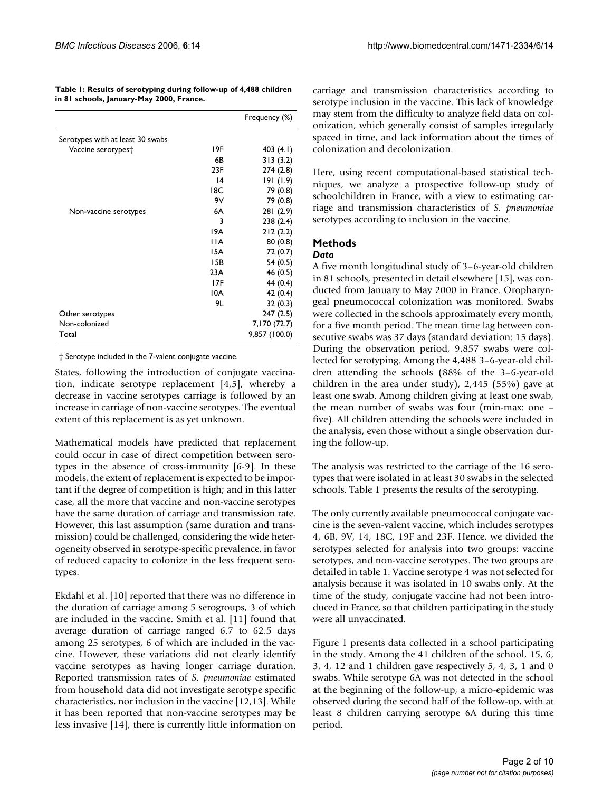**Table 1: Results of serotyping during follow-up of 4,488 children in 81 schools, January-May 2000, France.**

|                                  |                 | Frequency (%) |
|----------------------------------|-----------------|---------------|
| Serotypes with at least 30 swabs |                 |               |
| Vaccine serotypes†               | 19F             | 403 (4.1)     |
|                                  | 6 <sub>B</sub>  | 313(3.2)      |
|                                  | 23F             | 274 (2.8)     |
|                                  | $\overline{14}$ | 191(1.9)      |
|                                  | 18C             | 79 (0.8)      |
|                                  | 9V              | 79 (0.8)      |
| Non-vaccine serotypes            | 6A              | 281 (2.9)     |
|                                  | 3               | 238(2.4)      |
|                                  | 19A             | 212(2.2)      |
|                                  | 1 I A           | 80(0.8)       |
|                                  | 15A             | 72(0.7)       |
|                                  | 15B             | 54(0.5)       |
|                                  | 23A             | 46 (0.5)      |
|                                  | 17F             | 44 (0.4)      |
|                                  | 10A             | 42 (0.4)      |
|                                  | 9L              | 32(0.3)       |
| Other serotypes                  |                 | 247 (2.5)     |
| Non-colonized                    |                 | 7,170 (72.7)  |
| Total                            |                 | 9,857 (100.0) |

† Serotype included in the 7-valent conjugate vaccine.

States, following the introduction of conjugate vaccination, indicate serotype replacement [4,5], whereby a decrease in vaccine serotypes carriage is followed by an increase in carriage of non-vaccine serotypes. The eventual extent of this replacement is as yet unknown.

Mathematical models have predicted that replacement could occur in case of direct competition between serotypes in the absence of cross-immunity [6-9]. In these models, the extent of replacement is expected to be important if the degree of competition is high; and in this latter case, all the more that vaccine and non-vaccine serotypes have the same duration of carriage and transmission rate. However, this last assumption (same duration and transmission) could be challenged, considering the wide heterogeneity observed in serotype-specific prevalence, in favor of reduced capacity to colonize in the less frequent serotypes.

Ekdahl et al. [10] reported that there was no difference in the duration of carriage among 5 serogroups, 3 of which are included in the vaccine. Smith et al. [11] found that average duration of carriage ranged 6.7 to 62.5 days among 25 serotypes, 6 of which are included in the vaccine. However, these variations did not clearly identify vaccine serotypes as having longer carriage duration. Reported transmission rates of *S. pneumoniae* estimated from household data did not investigate serotype specific characteristics, nor inclusion in the vaccine [12,13]. While it has been reported that non-vaccine serotypes may be less invasive [14], there is currently little information on carriage and transmission characteristics according to serotype inclusion in the vaccine. This lack of knowledge may stem from the difficulty to analyze field data on colonization, which generally consist of samples irregularly spaced in time, and lack information about the times of colonization and decolonization.

Here, using recent computational-based statistical techniques, we analyze a prospective follow-up study of schoolchildren in France, with a view to estimating carriage and transmission characteristics of *S. pneumoniae* serotypes according to inclusion in the vaccine.

### **Methods**

#### *Data*

A five month longitudinal study of 3–6-year-old children in 81 schools, presented in detail elsewhere [15], was conducted from January to May 2000 in France. Oropharyngeal pneumococcal colonization was monitored. Swabs were collected in the schools approximately every month, for a five month period. The mean time lag between consecutive swabs was 37 days (standard deviation: 15 days). During the observation period, 9,857 swabs were collected for serotyping. Among the 4,488 3–6-year-old children attending the schools (88% of the 3–6-year-old children in the area under study), 2,445 (55%) gave at least one swab. Among children giving at least one swab, the mean number of swabs was four (min-max: one – five). All children attending the schools were included in the analysis, even those without a single observation during the follow-up.

The analysis was restricted to the carriage of the 16 serotypes that were isolated in at least 30 swabs in the selected schools. Table 1 presents the results of the serotyping.

The only currently available pneumococcal conjugate vaccine is the seven-valent vaccine, which includes serotypes 4, 6B, 9V, 14, 18C, 19F and 23F. Hence, we divided the serotypes selected for analysis into two groups: vaccine serotypes, and non-vaccine serotypes. The two groups are detailed in table 1. Vaccine serotype 4 was not selected for analysis because it was isolated in 10 swabs only. At the time of the study, conjugate vaccine had not been introduced in France, so that children participating in the study were all unvaccinated.

Figure 1 presents data collected in a school participating in the study. Among the 41 children of the school, 15, 6, 3, 4, 12 and 1 children gave respectively 5, 4, 3, 1 and 0 swabs. While serotype 6A was not detected in the school at the beginning of the follow-up, a micro-epidemic was observed during the second half of the follow-up, with at least 8 children carrying serotype 6A during this time period.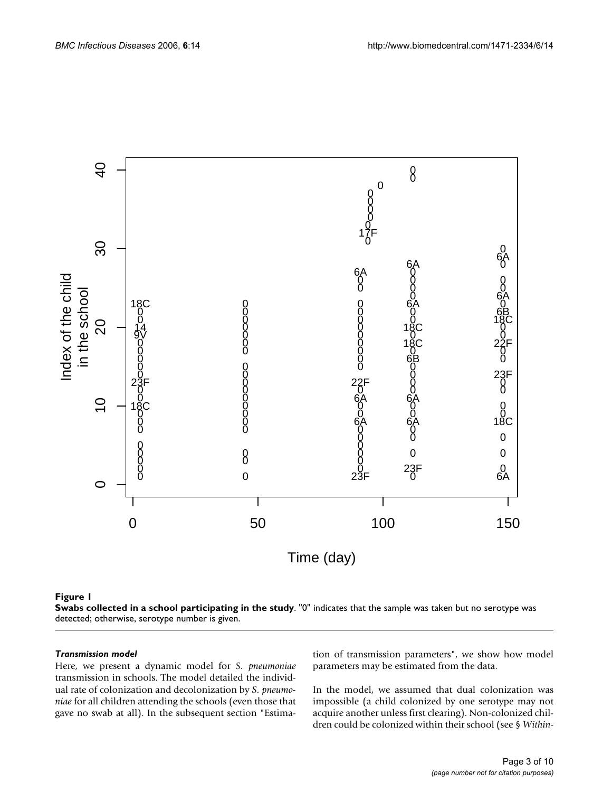

#### **Figure 1**

**Swabs collected in a school participating in the study**. "0" indicates that the sample was taken but no serotype was detected; otherwise, serotype number is given.

#### *Transmission model*

Here, we present a dynamic model for *S. pneumoniae* transmission in schools. The model detailed the individual rate of colonization and decolonization by *S. pneumoniae* for all children attending the schools (even those that gave no swab at all). In the subsequent section "Estimation of transmission parameters", we show how model parameters may be estimated from the data.

In the model, we assumed that dual colonization was impossible (a child colonized by one serotype may not acquire another unless first clearing). Non-colonized children could be colonized within their school (see § *Within-*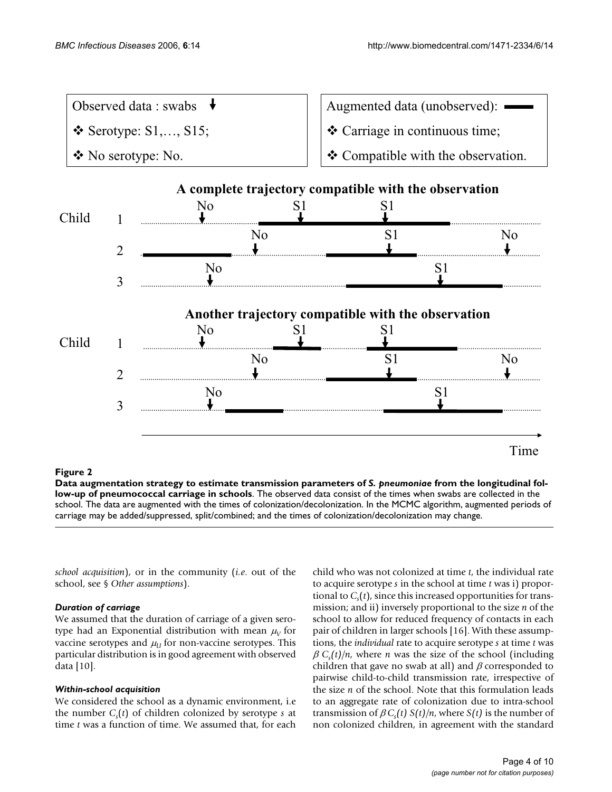|       |                                                                                              |    |                                | Augmented data (unobserved):                          |  |
|-------|----------------------------------------------------------------------------------------------|----|--------------------------------|-------------------------------------------------------|--|
|       | Observed data : swabs<br>$\triangle$ Serotype: S1,, S15;<br>$\bullet$ No serotype: No.<br>No |    | ❖ Carriage in continuous time; |                                                       |  |
|       |                                                                                              |    |                                | ❖ Compatible with the observation.                    |  |
|       |                                                                                              |    |                                | A complete trajectory compatible with the observation |  |
| Child |                                                                                              |    |                                |                                                       |  |
|       |                                                                                              | Nο |                                |                                                       |  |
| No    |                                                                                              |    |                                |                                                       |  |
|       |                                                                                              |    |                                |                                                       |  |

**Another trajectory compatible with the observation**

S1 S1

No S1 No

Child 1

2

3

**Figure 2** Data augmentation strategy to estimate transmission parameters of coccal carriage in schools *S. pneumoniae* from the longitudinal follow-up of pneumo-**Data augmentation strategy to estimate transmission parameters of** *S. pneumoniae* **from the longitudinal follow-up of pneumococcal carriage in schools**. The observed data consist of the times when swabs are collected in the school. The data are augmented with the times of colonization/decolonization. In the MCMC algorithm, augmented periods of carriage may be added/suppressed, split/combined; and the times of colonization/decolonization may change.

*school acquisition*), or in the community (*i.e*. out of the school, see § *Other assumptions*).

No

No

#### *Duration of carriage*

We assumed that the duration of carriage of a given serotype had an Exponential distribution with mean  $\mu_V$  for vaccine serotypes and  $\mu_U$  for non-vaccine serotypes. This particular distribution is in good agreement with observed data [10].

#### *Within-school acquisition*

We considered the school as a dynamic environment, i.e the number *C<sup>s</sup>* (*t*) of children colonized by serotype *s* at time *t* was a function of time. We assumed that, for each

child who was not colonized at time *t*, the individual rate to acquire serotype *s* in the school at time *t* was i) proportional to *C<sup>s</sup>* (*t*), since this increased opportunities for transmission; and ii) inversely proportional to the size *n* of the school to allow for reduced frequency of contacts in each pair of children in larger schools [16]. With these assumptions, the *individual* rate to acquire serotype *s* at time *t* was  $\beta C_s(t)/n$ , where *n* was the size of the school (including children that gave no swab at all) and  $\beta$  corresponded to pairwise child-to-child transmission rate, irrespective of the size *n* of the school. Note that this formulation leads to an aggregate rate of colonization due to intra-school transmission of  $\beta C_s(t) S(t)/n$ , where  $S(t)$  is the number of non colonized children, in agreement with the standard

S1

Time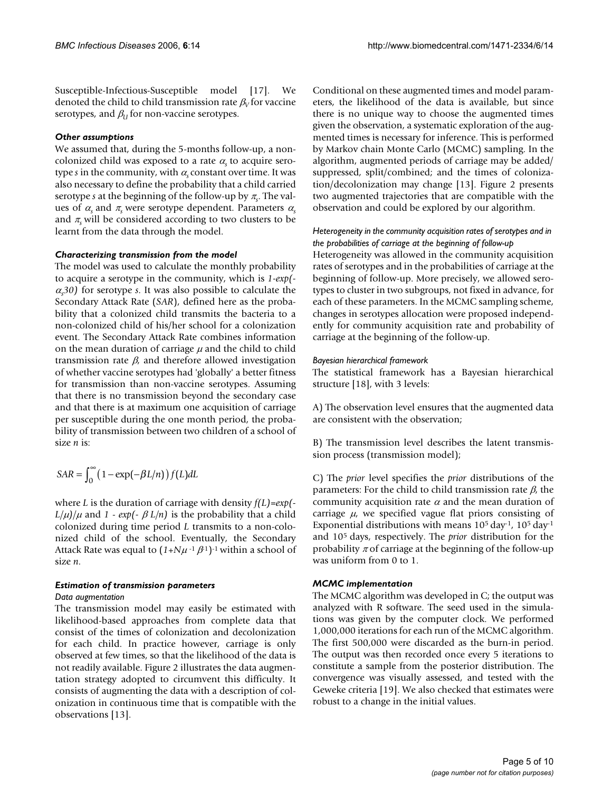Susceptible-Infectious-Susceptible model [17]. We denoted the child to child transmission rate  $\beta_V$  for vaccine serotypes, and  $\beta_U$  for non-vaccine serotypes.

#### *Other assumptions*

We assumed that, during the 5-months follow-up, a noncolonized child was exposed to a rate  $\alpha$  to acquire serotype *s* in the community, with <sup>α</sup>*s* constant over time. It was also necessary to define the probability that a child carried serotype *s* at the beginning of the follow-up by <sup>π</sup>*<sup>s</sup>* . The values of  $\alpha_s$  and  $\pi_s$  were serotype dependent. Parameters  $\alpha_s$ and  $\pi$ <sub>s</sub> will be considered according to two clusters to be learnt from the data through the model.

#### *Characterizing transmission from the model*

The model was used to calculate the monthly probability to acquire a serotype in the community, which is *1-exp(-*  $\alpha$ <sub>30</sub>) for serotype *s*. It was also possible to calculate the Secondary Attack Rate (*SAR*), defined here as the probability that a colonized child transmits the bacteria to a non-colonized child of his/her school for a colonization event. The Secondary Attack Rate combines information on the mean duration of carriage  $\mu$  and the child to child transmission rate  $\beta$ , and therefore allowed investigation of whether vaccine serotypes had 'globally' a better fitness for transmission than non-vaccine serotypes. Assuming that there is no transmission beyond the secondary case and that there is at maximum one acquisition of carriage per susceptible during the one month period, the probability of transmission between two children of a school of size *n* is:

$$
SAR = \int_0^\infty \left(1 - \exp(-\beta L/n)\right) f(L) dL
$$

where *L* is the duration of carriage with density *f(L)=exp(-*  $L/\mu$ *)/* $\mu$  and *1 - exp*(*-*  $\beta$  *L/n*) is the probability that a child colonized during time period *L* transmits to a non-colonized child of the school. Eventually, the Secondary Attack Rate was equal to  $(1 + N\mu^{-1}\beta^1)^{-1}$  within a school of size *n*.

#### *Estimation of transmission parameters*

#### *Data augmentation*

The transmission model may easily be estimated with likelihood-based approaches from complete data that consist of the times of colonization and decolonization for each child. In practice however, carriage is only observed at few times, so that the likelihood of the data is not readily available. Figure 2 illustrates the data augmentation strategy adopted to circumvent this difficulty. It consists of augmenting the data with a description of colonization in continuous time that is compatible with the observations [13].

Conditional on these augmented times and model parameters, the likelihood of the data is available, but since there is no unique way to choose the augmented times given the observation, a systematic exploration of the augmented times is necessary for inference. This is performed by Markov chain Monte Carlo (MCMC) sampling. In the algorithm, augmented periods of carriage may be added/ suppressed, split/combined; and the times of colonization/decolonization may change [13]. Figure 2 presents two augmented trajectories that are compatible with the observation and could be explored by our algorithm.

#### *Heterogeneity in the community acquisition rates of serotypes and in the probabilities of carriage at the beginning of follow-up*

Heterogeneity was allowed in the community acquisition rates of serotypes and in the probabilities of carriage at the beginning of follow-up. More precisely, we allowed serotypes to cluster in two subgroups, not fixed in advance, for each of these parameters. In the MCMC sampling scheme, changes in serotypes allocation were proposed independently for community acquisition rate and probability of carriage at the beginning of the follow-up.

#### *Bayesian hierarchical framework*

The statistical framework has a Bayesian hierarchical structure [18], with 3 levels:

A) The observation level ensures that the augmented data are consistent with the observation;

B) The transmission level describes the latent transmission process (transmission model);

C) The *prior* level specifies the *prior* distributions of the parameters: For the child to child transmission rate  $\beta$ , the community acquisition rate  $\alpha$  and the mean duration of carriage  $\mu$ , we specified vague flat priors consisting of Exponential distributions with means  $10^5$  day<sup>-1</sup>,  $10^5$  day<sup>-1</sup> and 10<sup>5</sup> days, respectively. The *prior* distribution for the probability  $\pi$  of carriage at the beginning of the follow-up was uniform from 0 to 1.

#### *MCMC implementation*

The MCMC algorithm was developed in C; the output was analyzed with R software. The seed used in the simulations was given by the computer clock. We performed 1,000,000 iterations for each run of the MCMC algorithm. The first 500,000 were discarded as the burn-in period. The output was then recorded once every 5 iterations to constitute a sample from the posterior distribution. The convergence was visually assessed, and tested with the Geweke criteria [19]. We also checked that estimates were robust to a change in the initial values.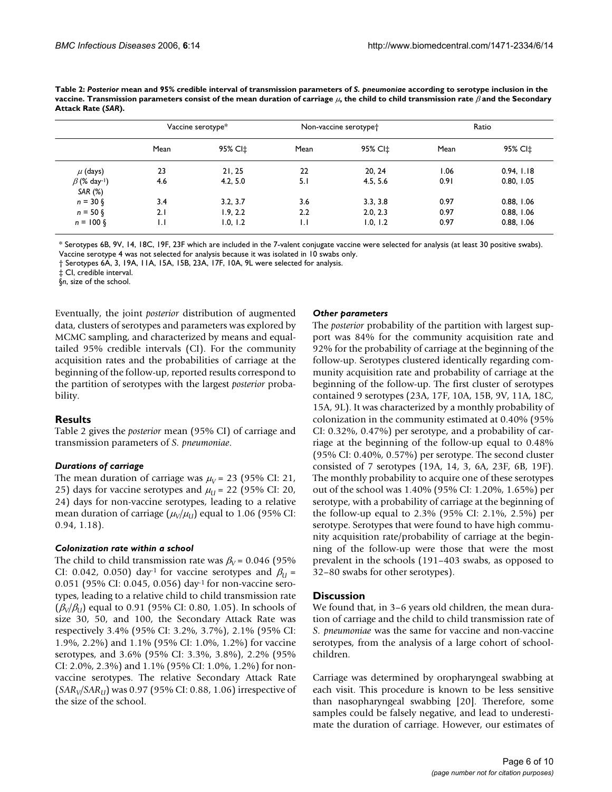|                                | Vaccine serotype* |                     | Non-vaccine serotype <sup>+</sup> |          | Ratio |            |
|--------------------------------|-------------------|---------------------|-----------------------------------|----------|-------|------------|
|                                | Mean              | 95% CI <sup>+</sup> | Mean                              | 95% CI±  | Mean  | 95% CI‡    |
| $\mu$ (days)                   | 23                | 21, 25              | 22                                | 20, 24   | 1.06  | 0.94, 1.18 |
| $\beta$ (% day-1)<br>SAR $(%)$ | 4.6               | 4.2, 5.0            | 5.1                               | 4.5, 5.6 | 0.91  | 0.80, 1.05 |
| $n = 30 \, \text{S}$           | 3.4               | 3.2, 3.7            | 3.6                               | 3.3, 3.8 | 0.97  | 0.88, 1.06 |
| $n = 50$ $\delta$              | 2.1               | 1.9, 2.2            | $2.2\phantom{0}$                  | 2.0, 2.3 | 0.97  | 0.88, 1.06 |
| $n = 100 \xi$                  | IJ                | 1.0, 1.2            | IJ                                | 1.0, 1.2 | 0.97  | 0.88, 1.06 |

**Table 2:** *Posterior* **mean and 95% credible interval of transmission parameters of** *S. pneumoniae* **according to serotype inclusion in the vaccine. Transmission parameters consist of the mean duration of carriage** µ**, the child to child transmission rate** β **and the Secondary Attack Rate (***SAR***).**

\* Serotypes 6B, 9V, 14, 18C, 19F, 23F which are included in the 7-valent conjugate vaccine were selected for analysis (at least 30 positive swabs). Vaccine serotype 4 was not selected for analysis because it was isolated in 10 swabs only.

† Serotypes 6A, 3, 19A, 11A, 15A, 15B, 23A, 17F, 10A, 9L were selected for analysis.

‡ CI, credible interval.

§*n*, size of the school.

Eventually, the joint *posterior* distribution of augmented data, clusters of serotypes and parameters was explored by MCMC sampling, and characterized by means and equaltailed 95% credible intervals (CI). For the community acquisition rates and the probabilities of carriage at the beginning of the follow-up, reported results correspond to the partition of serotypes with the largest *posterior* probability.

#### **Results**

Table 2 gives the *posterior* mean (95% CI) of carriage and transmission parameters of *S. pneumoniae*.

#### *Durations of carriage*

The mean duration of carriage was  $\mu_V$  = 23 (95% CI: 21, 25) days for vaccine serotypes and  $\mu_{U}$  = 22 (95% CI: 20, 24) days for non-vaccine serotypes, leading to a relative mean duration of carriage  $(\mu_{\text{V}}/\mu_{\text{U}})$  equal to 1.06 (95% CI: 0.94, 1.18).

#### *Colonization rate within a school*

The child to child transmission rate was  $\beta_V$  = 0.046 (95%) CI: 0.042, 0.050) day<sup>-1</sup> for vaccine serotypes and  $\beta_U$  = 0.051 (95% CI: 0.045, 0.056) day-1 for non-vaccine serotypes, leading to a relative child to child transmission rate (β*<sup>V</sup> /*β*U*) equal to 0.91 (95% CI: 0.80, 1.05). In schools of size 30, 50, and 100, the Secondary Attack Rate was respectively 3.4% (95% CI: 3.2%, 3.7%), 2.1% (95% CI: 1.9%, 2.2%) and 1.1% (95% CI: 1.0%, 1.2%) for vaccine serotypes, and 3.6% (95% CI: 3.3%, 3.8%), 2.2% (95% CI: 2.0%, 2.3%) and 1.1% (95% CI: 1.0%, 1.2%) for nonvaccine serotypes. The relative Secondary Attack Rate (*SAR<sup>V</sup> /SARU*) was 0.97 (95% CI: 0.88, 1.06) irrespective of the size of the school.

#### *Other parameters*

The *posterior* probability of the partition with largest support was 84% for the community acquisition rate and 92% for the probability of carriage at the beginning of the follow-up. Serotypes clustered identically regarding community acquisition rate and probability of carriage at the beginning of the follow-up. The first cluster of serotypes contained 9 serotypes (23A, 17F, 10A, 15B, 9V, 11A, 18C, 15A, 9L). It was characterized by a monthly probability of colonization in the community estimated at 0.40% (95% CI: 0.32%, 0.47%) per serotype, and a probability of carriage at the beginning of the follow-up equal to 0.48% (95% CI: 0.40%, 0.57%) per serotype. The second cluster consisted of 7 serotypes (19A, 14, 3, 6A, 23F, 6B, 19F). The monthly probability to acquire one of these serotypes out of the school was 1.40% (95% CI: 1.20%, 1.65%) per serotype, with a probability of carriage at the beginning of the follow-up equal to 2.3% (95% CI: 2.1%, 2.5%) per serotype. Serotypes that were found to have high community acquisition rate/probability of carriage at the beginning of the follow-up were those that were the most prevalent in the schools (191–403 swabs, as opposed to 32–80 swabs for other serotypes).

#### **Discussion**

We found that, in 3–6 years old children, the mean duration of carriage and the child to child transmission rate of *S. pneumoniae* was the same for vaccine and non-vaccine serotypes, from the analysis of a large cohort of schoolchildren.

Carriage was determined by oropharyngeal swabbing at each visit. This procedure is known to be less sensitive than nasopharyngeal swabbing [20]. Therefore, some samples could be falsely negative, and lead to underestimate the duration of carriage. However, our estimates of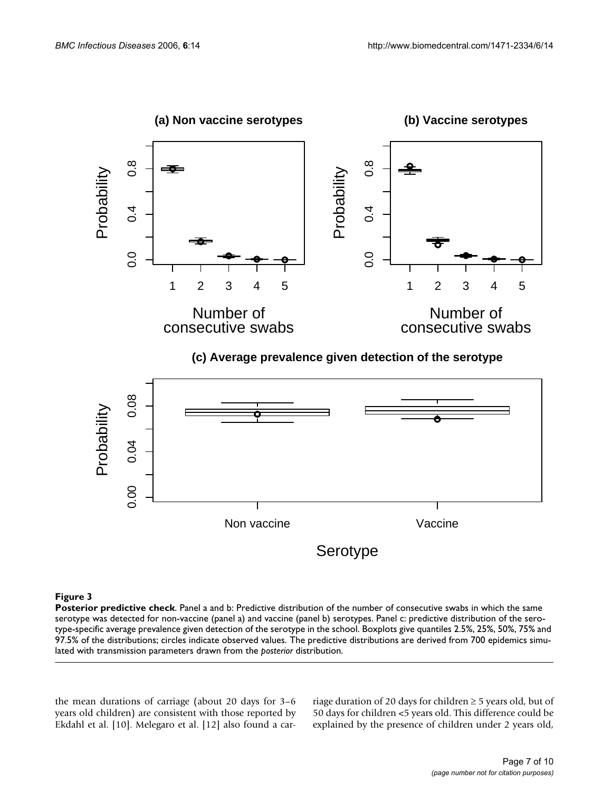

**(c) Average prevalence given detection of the serotype**



#### **Figure 3**

**Posterior predictive check**. Panel a and b: Predictive distribution of the number of consecutive swabs in which the same serotype was detected for non-vaccine (panel a) and vaccine (panel b) serotypes. Panel c: predictive distribution of the serotype-specific average prevalence given detection of the serotype in the school. Boxplots give quantiles 2.5%, 25%, 50%, 75% and 97.5% of the distributions; circles indicate observed values. The predictive distributions are derived from 700 epidemics simulated with transmission parameters drawn from the *posterior* distribution.

the mean durations of carriage (about 20 days for 3–6 years old children) are consistent with those reported by Ekdahl et al. [10]. Melegaro et al. [12] also found a carriage duration of 20 days for children  $\geq$  5 years old, but of 50 days for children <5 years old. This difference could be explained by the presence of children under 2 years old,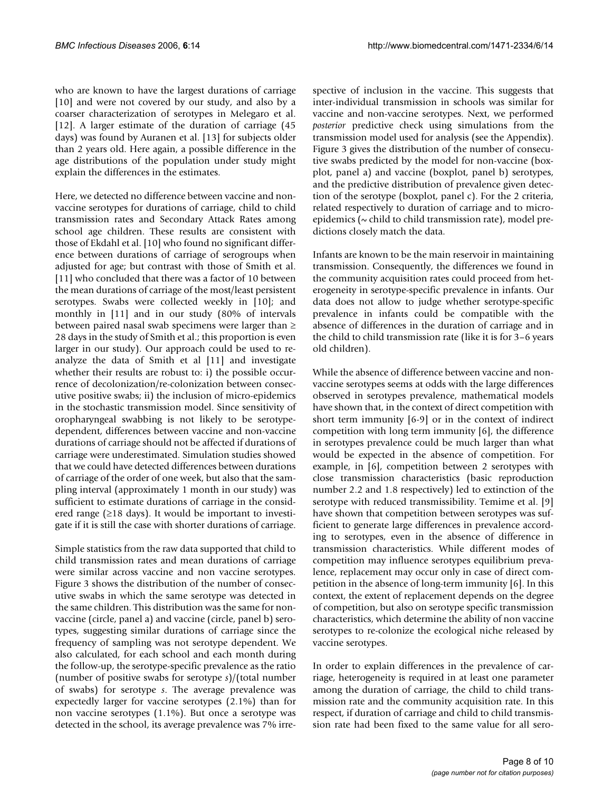who are known to have the largest durations of carriage [10] and were not covered by our study, and also by a coarser characterization of serotypes in Melegaro et al. [12]. A larger estimate of the duration of carriage (45 days) was found by Auranen et al. [13] for subjects older than 2 years old. Here again, a possible difference in the age distributions of the population under study might explain the differences in the estimates.

Here, we detected no difference between vaccine and nonvaccine serotypes for durations of carriage, child to child transmission rates and Secondary Attack Rates among school age children. These results are consistent with those of Ekdahl et al. [10] who found no significant difference between durations of carriage of serogroups when adjusted for age; but contrast with those of Smith et al. [11] who concluded that there was a factor of 10 between the mean durations of carriage of the most/least persistent serotypes. Swabs were collected weekly in [10]; and monthly in [11] and in our study (80% of intervals between paired nasal swab specimens were larger than ≥ 28 days in the study of Smith et al.; this proportion is even larger in our study). Our approach could be used to reanalyze the data of Smith et al [11] and investigate whether their results are robust to: i) the possible occurrence of decolonization/re-colonization between consecutive positive swabs; ii) the inclusion of micro-epidemics in the stochastic transmission model. Since sensitivity of oropharyngeal swabbing is not likely to be serotypedependent, differences between vaccine and non-vaccine durations of carriage should not be affected if durations of carriage were underestimated. Simulation studies showed that we could have detected differences between durations of carriage of the order of one week, but also that the sampling interval (approximately 1 month in our study) was sufficient to estimate durations of carriage in the considered range ( $\geq$ 18 days). It would be important to investigate if it is still the case with shorter durations of carriage.

Simple statistics from the raw data supported that child to child transmission rates and mean durations of carriage were similar across vaccine and non vaccine serotypes. Figure 3 shows the distribution of the number of consecutive swabs in which the same serotype was detected in the same children. This distribution was the same for nonvaccine (circle, panel a) and vaccine (circle, panel b) serotypes, suggesting similar durations of carriage since the frequency of sampling was not serotype dependent. We also calculated, for each school and each month during the follow-up, the serotype-specific prevalence as the ratio (number of positive swabs for serotype *s*)/(total number of swabs) for serotype *s*. The average prevalence was expectedly larger for vaccine serotypes (2.1%) than for non vaccine serotypes (1.1%). But once a serotype was detected in the school, its average prevalence was 7% irrespective of inclusion in the vaccine. This suggests that inter-individual transmission in schools was similar for vaccine and non-vaccine serotypes. Next, we performed *posterior* predictive check using simulations from the transmission model used for analysis (see the Appendix). Figure 3 gives the distribution of the number of consecutive swabs predicted by the model for non-vaccine (boxplot, panel a) and vaccine (boxplot, panel b) serotypes, and the predictive distribution of prevalence given detection of the serotype (boxplot, panel c). For the 2 criteria, related respectively to duration of carriage and to microepidemics ( $\sim$  child to child transmission rate), model predictions closely match the data.

Infants are known to be the main reservoir in maintaining transmission. Consequently, the differences we found in the community acquisition rates could proceed from heterogeneity in serotype-specific prevalence in infants. Our data does not allow to judge whether serotype-specific prevalence in infants could be compatible with the absence of differences in the duration of carriage and in the child to child transmission rate (like it is for 3–6 years old children).

While the absence of difference between vaccine and nonvaccine serotypes seems at odds with the large differences observed in serotypes prevalence, mathematical models have shown that, in the context of direct competition with short term immunity [6-9] or in the context of indirect competition with long term immunity [6], the difference in serotypes prevalence could be much larger than what would be expected in the absence of competition. For example, in [6], competition between 2 serotypes with close transmission characteristics (basic reproduction number 2.2 and 1.8 respectively) led to extinction of the serotype with reduced transmissibility. Temime et al. [9] have shown that competition between serotypes was sufficient to generate large differences in prevalence according to serotypes, even in the absence of difference in transmission characteristics. While different modes of competition may influence serotypes equilibrium prevalence, replacement may occur only in case of direct competition in the absence of long-term immunity [6]. In this context, the extent of replacement depends on the degree of competition, but also on serotype specific transmission characteristics, which determine the ability of non vaccine serotypes to re-colonize the ecological niche released by vaccine serotypes.

In order to explain differences in the prevalence of carriage, heterogeneity is required in at least one parameter among the duration of carriage, the child to child transmission rate and the community acquisition rate. In this respect, if duration of carriage and child to child transmission rate had been fixed to the same value for all sero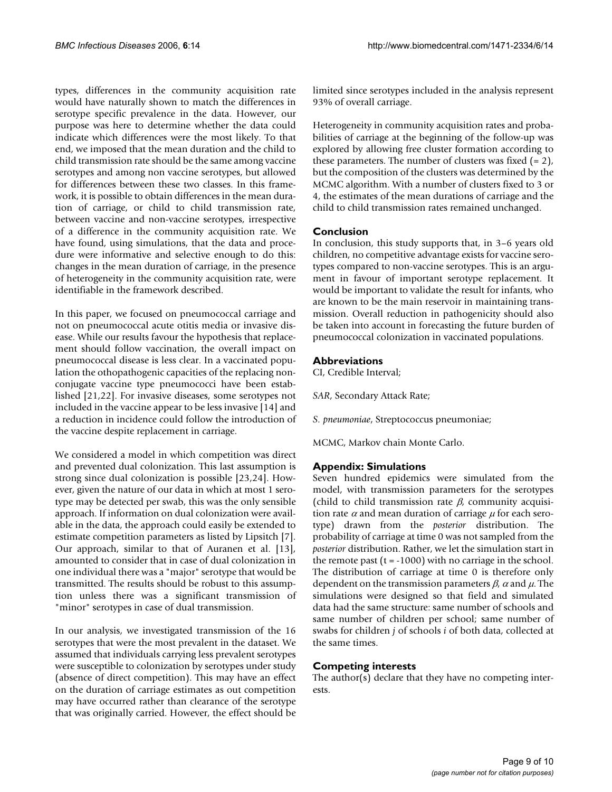types, differences in the community acquisition rate would have naturally shown to match the differences in serotype specific prevalence in the data. However, our purpose was here to determine whether the data could indicate which differences were the most likely. To that end, we imposed that the mean duration and the child to child transmission rate should be the same among vaccine serotypes and among non vaccine serotypes, but allowed for differences between these two classes. In this framework, it is possible to obtain differences in the mean duration of carriage, or child to child transmission rate, between vaccine and non-vaccine serotypes, irrespective of a difference in the community acquisition rate. We have found, using simulations, that the data and procedure were informative and selective enough to do this: changes in the mean duration of carriage, in the presence of heterogeneity in the community acquisition rate, were identifiable in the framework described.

In this paper, we focused on pneumococcal carriage and not on pneumococcal acute otitis media or invasive disease. While our results favour the hypothesis that replacement should follow vaccination, the overall impact on pneumococcal disease is less clear. In a vaccinated population the othopathogenic capacities of the replacing nonconjugate vaccine type pneumococci have been established [21,22]. For invasive diseases, some serotypes not included in the vaccine appear to be less invasive [14] and a reduction in incidence could follow the introduction of the vaccine despite replacement in carriage.

We considered a model in which competition was direct and prevented dual colonization. This last assumption is strong since dual colonization is possible [23,24]. However, given the nature of our data in which at most 1 serotype may be detected per swab, this was the only sensible approach. If information on dual colonization were available in the data, the approach could easily be extended to estimate competition parameters as listed by Lipsitch [7]. Our approach, similar to that of Auranen et al. [13], amounted to consider that in case of dual colonization in one individual there was a "major" serotype that would be transmitted. The results should be robust to this assumption unless there was a significant transmission of "minor" serotypes in case of dual transmission.

In our analysis, we investigated transmission of the 16 serotypes that were the most prevalent in the dataset. We assumed that individuals carrying less prevalent serotypes were susceptible to colonization by serotypes under study (absence of direct competition). This may have an effect on the duration of carriage estimates as out competition may have occurred rather than clearance of the serotype that was originally carried. However, the effect should be limited since serotypes included in the analysis represent 93% of overall carriage.

Heterogeneity in community acquisition rates and probabilities of carriage at the beginning of the follow-up was explored by allowing free cluster formation according to these parameters. The number of clusters was fixed  $(= 2)$ , but the composition of the clusters was determined by the MCMC algorithm. With a number of clusters fixed to 3 or 4, the estimates of the mean durations of carriage and the child to child transmission rates remained unchanged.

### **Conclusion**

In conclusion, this study supports that, in 3–6 years old children, no competitive advantage exists for vaccine serotypes compared to non-vaccine serotypes. This is an argument in favour of important serotype replacement. It would be important to validate the result for infants, who are known to be the main reservoir in maintaining transmission. Overall reduction in pathogenicity should also be taken into account in forecasting the future burden of pneumococcal colonization in vaccinated populations.

### **Abbreviations**

CI, Credible Interval;

*SAR*, Secondary Attack Rate;

*S. pneumoniae*, Streptococcus pneumoniae;

MCMC, Markov chain Monte Carlo.

#### **Appendix: Simulations**

Seven hundred epidemics were simulated from the model, with transmission parameters for the serotypes (child to child transmission rate  $\beta$ , community acquisition rate  $\alpha$  and mean duration of carriage  $\mu$  for each serotype) drawn from the *posterior* distribution. The probability of carriage at time 0 was not sampled from the *posterior* distribution. Rather, we let the simulation start in the remote past  $(t = -1000)$  with no carriage in the school. The distribution of carriage at time 0 is therefore only dependent on the transmission parameters  $\beta$ ,  $\alpha$  and  $\mu$ . The simulations were designed so that field and simulated data had the same structure: same number of schools and same number of children per school; same number of swabs for children *j* of schools *i* of both data, collected at the same times.

### **Competing interests**

The author(s) declare that they have no competing interests.